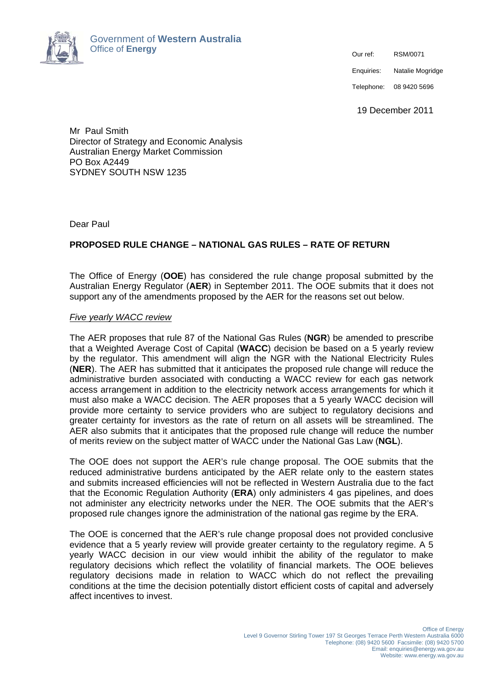

Enquiries: Natalie Mogridge

Telephone: 08 9420 5696

19 December 2011

Mr Paul Smith Director of Strategy and Economic Analysis Australian Energy Market Commission PO Box A2449 SYDNEY SOUTH NSW 1235

Dear Paul

# **PROPOSED RULE CHANGE – NATIONAL GAS RULES – RATE OF RETURN**

The Office of Energy (**OOE**) has considered the rule change proposal submitted by the Australian Energy Regulator (**AER**) in September 2011. The OOE submits that it does not support any of the amendments proposed by the AER for the reasons set out below.

## *Five yearly WACC review*

The AER proposes that rule 87 of the National Gas Rules (**NGR**) be amended to prescribe that a Weighted Average Cost of Capital (**WACC**) decision be based on a 5 yearly review by the regulator. This amendment will align the NGR with the National Electricity Rules (**NER**). The AER has submitted that it anticipates the proposed rule change will reduce the administrative burden associated with conducting a WACC review for each gas network access arrangement in addition to the electricity network access arrangements for which it must also make a WACC decision. The AER proposes that a 5 yearly WACC decision will provide more certainty to service providers who are subject to regulatory decisions and greater certainty for investors as the rate of return on all assets will be streamlined. The AER also submits that it anticipates that the proposed rule change will reduce the number of merits review on the subject matter of WACC under the National Gas Law (**NGL**).

The OOE does not support the AER's rule change proposal. The OOE submits that the reduced administrative burdens anticipated by the AER relate only to the eastern states and submits increased efficiencies will not be reflected in Western Australia due to the fact that the Economic Regulation Authority (**ERA**) only administers 4 gas pipelines, and does not administer any electricity networks under the NER. The OOE submits that the AER's proposed rule changes ignore the administration of the national gas regime by the ERA.

The OOE is concerned that the AER's rule change proposal does not provided conclusive evidence that a 5 yearly review will provide greater certainty to the regulatory regime. A 5 yearly WACC decision in our view would inhibit the ability of the regulator to make regulatory decisions which reflect the volatility of financial markets. The OOE believes regulatory decisions made in relation to WACC which do not reflect the prevailing conditions at the time the decision potentially distort efficient costs of capital and adversely affect incentives to invest.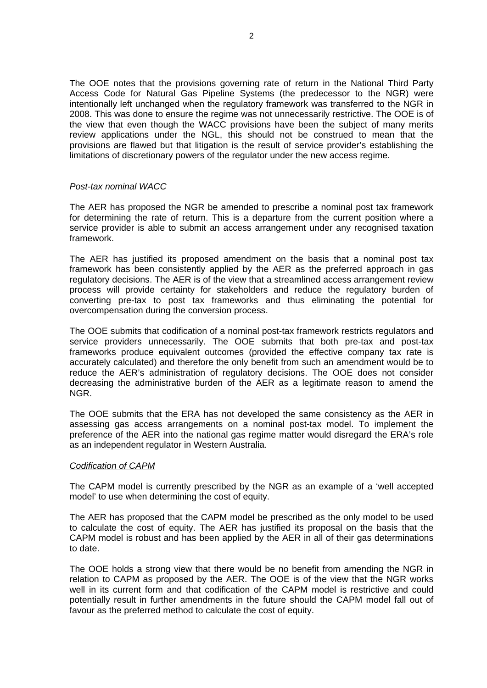The OOE notes that the provisions governing rate of return in the National Third Party Access Code for Natural Gas Pipeline Systems (the predecessor to the NGR) were intentionally left unchanged when the regulatory framework was transferred to the NGR in 2008. This was done to ensure the regime was not unnecessarily restrictive. The OOE is of the view that even though the WACC provisions have been the subject of many merits review applications under the NGL, this should not be construed to mean that the provisions are flawed but that litigation is the result of service provider's establishing the limitations of discretionary powers of the regulator under the new access regime.

## *Post-tax nominal WACC*

The AER has proposed the NGR be amended to prescribe a nominal post tax framework for determining the rate of return. This is a departure from the current position where a service provider is able to submit an access arrangement under any recognised taxation framework.

The AER has justified its proposed amendment on the basis that a nominal post tax framework has been consistently applied by the AER as the preferred approach in gas regulatory decisions. The AER is of the view that a streamlined access arrangement review process will provide certainty for stakeholders and reduce the regulatory burden of converting pre-tax to post tax frameworks and thus eliminating the potential for overcompensation during the conversion process.

The OOE submits that codification of a nominal post-tax framework restricts regulators and service providers unnecessarily. The OOE submits that both pre-tax and post-tax frameworks produce equivalent outcomes (provided the effective company tax rate is accurately calculated) and therefore the only benefit from such an amendment would be to reduce the AER's administration of regulatory decisions. The OOE does not consider decreasing the administrative burden of the AER as a legitimate reason to amend the NGR.

The OOE submits that the ERA has not developed the same consistency as the AER in assessing gas access arrangements on a nominal post-tax model. To implement the preference of the AER into the national gas regime matter would disregard the ERA's role as an independent regulator in Western Australia.

## *Codification of CAPM*

The CAPM model is currently prescribed by the NGR as an example of a 'well accepted model' to use when determining the cost of equity.

The AER has proposed that the CAPM model be prescribed as the only model to be used to calculate the cost of equity. The AER has justified its proposal on the basis that the CAPM model is robust and has been applied by the AER in all of their gas determinations to date.

The OOE holds a strong view that there would be no benefit from amending the NGR in relation to CAPM as proposed by the AER. The OOE is of the view that the NGR works well in its current form and that codification of the CAPM model is restrictive and could potentially result in further amendments in the future should the CAPM model fall out of favour as the preferred method to calculate the cost of equity.